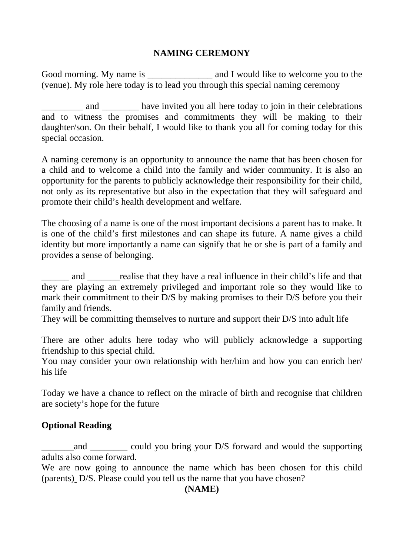## **NAMING CEREMONY**

Good morning. My name is \_\_\_\_\_\_\_\_\_\_\_\_\_\_\_\_ and I would like to welcome you to the (venue). My role here today is to lead you through this special naming ceremony

and \_\_\_\_\_\_\_ have invited you all here today to join in their celebrations and to witness the promises and commitments they will be making to their daughter/son. On their behalf, I would like to thank you all for coming today for this special occasion.

A naming ceremony is an opportunity to announce the name that has been chosen for a child and to welcome a child into the family and wider community. It is also an opportunity for the parents to publicly acknowledge their responsibility for their child, not only as its representative but also in the expectation that they will safeguard and promote their child's health development and welfare.

The choosing of a name is one of the most important decisions a parent has to make. It is one of the child's first milestones and can shape its future. A name gives a child identity but more importantly a name can signify that he or she is part of a family and provides a sense of belonging.

and realise that they have a real influence in their child's life and that they are playing an extremely privileged and important role so they would like to mark their commitment to their D/S by making promises to their D/S before you their family and friends.

They will be committing themselves to nurture and support their D/S into adult life

There are other adults here today who will publicly acknowledge a supporting friendship to this special child.

You may consider your own relationship with her/him and how you can enrich her/ his life

Today we have a chance to reflect on the miracle of birth and recognise that children are society's hope for the future

## **Optional Reading**

and could you bring your D/S forward and would the supporting adults also come forward.

We are now going to announce the name which has been chosen for this child (parents) D/S. Please could you tell us the name that you have chosen?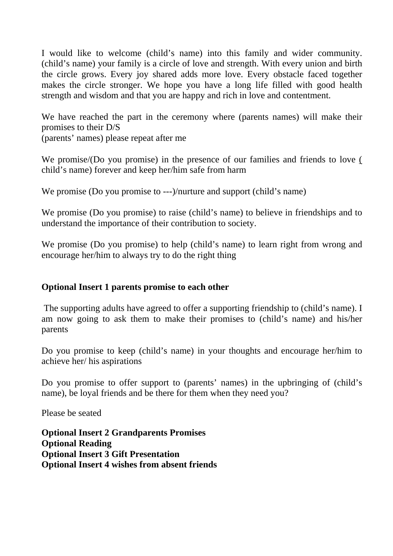I would like to welcome (child's name) into this family and wider community. (child's name) your family is a circle of love and strength. With every union and birth the circle grows. Every joy shared adds more love. Every obstacle faced together makes the circle stronger. We hope you have a long life filled with good health strength and wisdom and that you are happy and rich in love and contentment.

We have reached the part in the ceremony where (parents names) will make their promises to their D/S

(parents' names) please repeat after me

We promise/(Do you promise) in the presence of our families and friends to love ( child's name) forever and keep her/him safe from harm

We promise (Do you promise to ---)/nurture and support (child's name)

We promise (Do you promise) to raise (child's name) to believe in friendships and to understand the importance of their contribution to society.

We promise (Do you promise) to help (child's name) to learn right from wrong and encourage her/him to always try to do the right thing

## **Optional Insert 1 parents promise to each other**

 The supporting adults have agreed to offer a supporting friendship to (child's name). I am now going to ask them to make their promises to (child's name) and his/her parents

Do you promise to keep (child's name) in your thoughts and encourage her/him to achieve her/ his aspirations

Do you promise to offer support to (parents' names) in the upbringing of (child's name), be loyal friends and be there for them when they need you?

Please be seated

**Optional Insert 2 Grandparents Promises Optional Reading Optional Insert 3 Gift Presentation Optional Insert 4 wishes from absent friends**